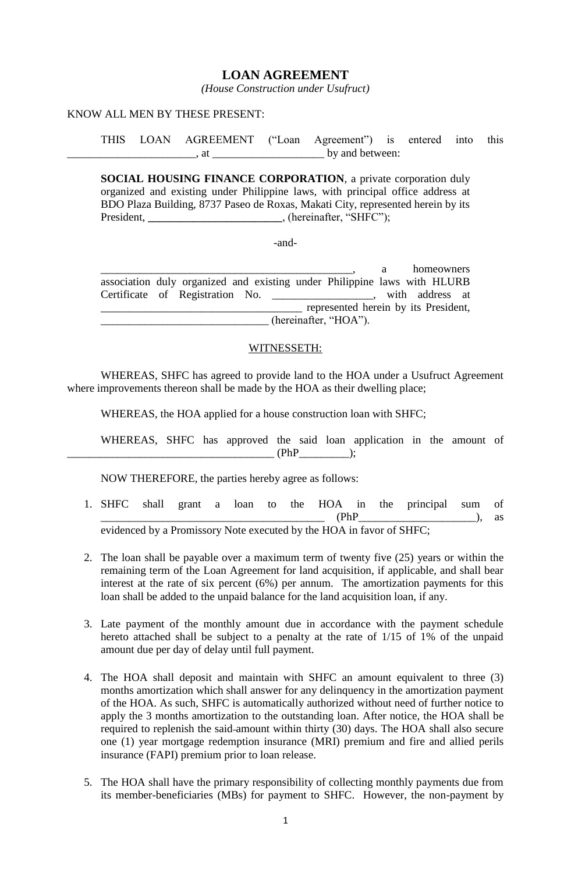# **LOAN AGREEMENT**

*(House Construction under Usufruct)*

#### KNOW ALL MEN BY THESE PRESENT:

THIS LOAN AGREEMENT ("Loan Agreement") is entered into this  $\frac{1}{2}$ , at  $\frac{1}{2}$  by and between:

**SOCIAL HOUSING FINANCE CORPORATION**, a private corporation duly organized and existing under Philippine laws, with principal office address at BDO Plaza Building, 8737 Paseo de Roxas, Makati City, represented herein by its President, \_\_\_\_\_\_\_\_\_\_\_\_\_\_\_\_\_\_\_\_\_\_\_\_, (hereinafter, "SHFC");

-and-

a homeowners association duly organized and existing under Philippine laws with HLURB Certificate of Registration No. \_\_\_\_\_\_\_\_\_\_\_\_\_\_\_\_\_\_, with address at \_\_\_\_\_\_\_\_\_\_\_\_\_\_\_\_\_\_\_\_\_\_\_\_\_\_\_\_\_\_\_\_\_\_\_\_ represented herein by its President, (hereinafter, "HOA").

### WITNESSETH:

WHEREAS, SHFC has agreed to provide land to the HOA under a Usufruct Agreement where improvements thereon shall be made by the HOA as their dwelling place;

WHEREAS, the HOA applied for a house construction loan with SHFC;

WHEREAS, SHFC has approved the said loan application in the amount of \_\_\_\_\_\_\_\_\_\_\_\_\_\_\_\_\_\_\_\_\_\_\_\_\_\_\_\_\_\_\_\_\_\_\_\_\_ (PhP\_\_\_\_\_\_\_\_\_);

NOW THEREFORE, the parties hereby agree as follows:

- 1. SHFC shall grant a loan to the HOA in the principal sum of  $(PhP$   $(PhP$   $)$ , as evidenced by a Promissory Note executed by the HOA in favor of SHFC;
- 2. The loan shall be payable over a maximum term of twenty five (25) years or within the remaining term of the Loan Agreement for land acquisition, if applicable, and shall bear interest at the rate of six percent (6%) per annum. The amortization payments for this loan shall be added to the unpaid balance for the land acquisition loan, if any.
- 3. Late payment of the monthly amount due in accordance with the payment schedule hereto attached shall be subject to a penalty at the rate of 1/15 of 1% of the unpaid amount due per day of delay until full payment.
- 4. The HOA shall deposit and maintain with SHFC an amount equivalent to three (3) months amortization which shall answer for any delinquency in the amortization payment of the HOA. As such, SHFC is automatically authorized without need of further notice to apply the 3 months amortization to the outstanding loan. After notice, the HOA shall be required to replenish the said-amount within thirty (30) days. The HOA shall also secure one (1) year mortgage redemption insurance (MRI) premium and fire and allied perils insurance (FAPI) premium prior to loan release.
- 5. The HOA shall have the primary responsibility of collecting monthly payments due from its member-beneficiaries (MBs) for payment to SHFC. However, the non-payment by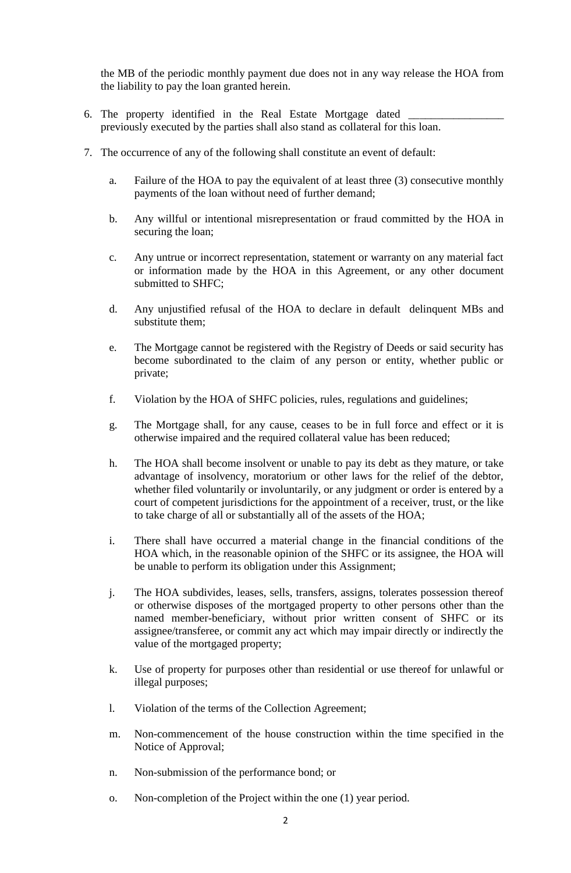the MB of the periodic monthly payment due does not in any way release the HOA from the liability to pay the loan granted herein.

- 6. The property identified in the Real Estate Mortgage dated previously executed by the parties shall also stand as collateral for this loan.
- 7. The occurrence of any of the following shall constitute an event of default:
	- a. Failure of the HOA to pay the equivalent of at least three (3) consecutive monthly payments of the loan without need of further demand;
	- b. Any willful or intentional misrepresentation or fraud committed by the HOA in securing the loan;
	- c. Any untrue or incorrect representation, statement or warranty on any material fact or information made by the HOA in this Agreement, or any other document submitted to SHFC;
	- d. Any unjustified refusal of the HOA to declare in default delinquent MBs and substitute them;
	- e. The Mortgage cannot be registered with the Registry of Deeds or said security has become subordinated to the claim of any person or entity, whether public or private;
	- f. Violation by the HOA of SHFC policies, rules, regulations and guidelines;
	- g. The Mortgage shall, for any cause, ceases to be in full force and effect or it is otherwise impaired and the required collateral value has been reduced;
	- h. The HOA shall become insolvent or unable to pay its debt as they mature, or take advantage of insolvency, moratorium or other laws for the relief of the debtor, whether filed voluntarily or involuntarily, or any judgment or order is entered by a court of competent jurisdictions for the appointment of a receiver, trust, or the like to take charge of all or substantially all of the assets of the HOA;
	- i. There shall have occurred a material change in the financial conditions of the HOA which, in the reasonable opinion of the SHFC or its assignee, the HOA will be unable to perform its obligation under this Assignment;
	- j. The HOA subdivides, leases, sells, transfers, assigns, tolerates possession thereof or otherwise disposes of the mortgaged property to other persons other than the named member-beneficiary, without prior written consent of SHFC or its assignee/transferee, or commit any act which may impair directly or indirectly the value of the mortgaged property;
	- k. Use of property for purposes other than residential or use thereof for unlawful or illegal purposes;
	- l. Violation of the terms of the Collection Agreement;
	- m. Non-commencement of the house construction within the time specified in the Notice of Approval;
	- n. Non-submission of the performance bond; or
	- o. Non-completion of the Project within the one (1) year period.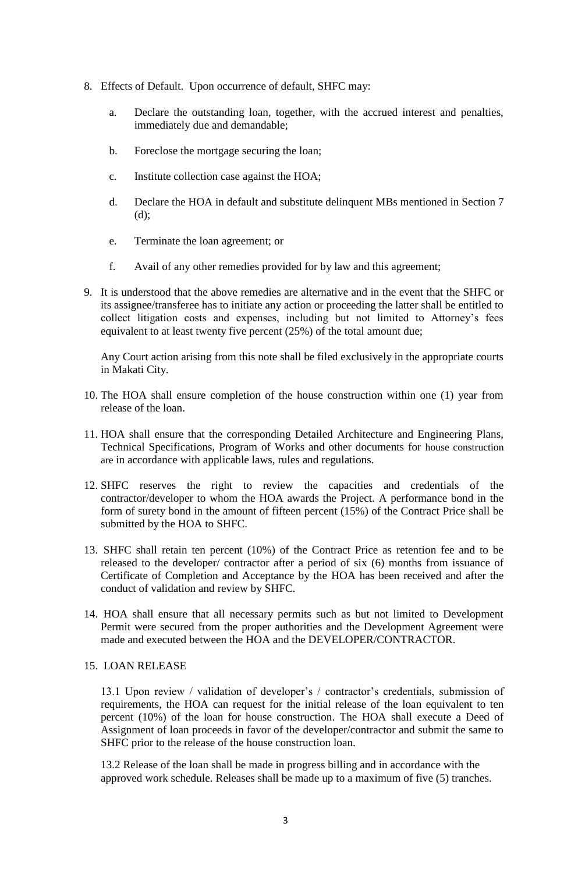- 8. Effects of Default. Upon occurrence of default, SHFC may:
	- a. Declare the outstanding loan, together, with the accrued interest and penalties, immediately due and demandable;
	- b. Foreclose the mortgage securing the loan;
	- c. Institute collection case against the HOA;
	- d. Declare the HOA in default and substitute delinquent MBs mentioned in Section 7 (d);
	- e. Terminate the loan agreement; or
	- f. Avail of any other remedies provided for by law and this agreement;
- 9. It is understood that the above remedies are alternative and in the event that the SHFC or its assignee/transferee has to initiate any action or proceeding the latter shall be entitled to collect litigation costs and expenses, including but not limited to Attorney's fees equivalent to at least twenty five percent (25%) of the total amount due;

Any Court action arising from this note shall be filed exclusively in the appropriate courts in Makati City.

- 10. The HOA shall ensure completion of the house construction within one (1) year from release of the loan.
- 11. HOA shall ensure that the corresponding Detailed Architecture and Engineering Plans, Technical Specifications, Program of Works and other documents for house construction are in accordance with applicable laws, rules and regulations.
- 12. SHFC reserves the right to review the capacities and credentials of the contractor/developer to whom the HOA awards the Project. A performance bond in the form of surety bond in the amount of fifteen percent (15%) of the Contract Price shall be submitted by the HOA to SHFC.
- 13. SHFC shall retain ten percent (10%) of the Contract Price as retention fee and to be released to the developer/ contractor after a period of six (6) months from issuance of Certificate of Completion and Acceptance by the HOA has been received and after the conduct of validation and review by SHFC.
- 14. HOA shall ensure that all necessary permits such as but not limited to Development Permit were secured from the proper authorities and the Development Agreement were made and executed between the HOA and the DEVELOPER/CONTRACTOR.

#### 15. LOAN RELEASE

13.1 Upon review / validation of developer's / contractor's credentials, submission of requirements, the HOA can request for the initial release of the loan equivalent to ten percent (10%) of the loan for house construction. The HOA shall execute a Deed of Assignment of loan proceeds in favor of the developer/contractor and submit the same to SHFC prior to the release of the house construction loan.

13.2 Release of the loan shall be made in progress billing and in accordance with the approved work schedule. Releases shall be made up to a maximum of five (5) tranches.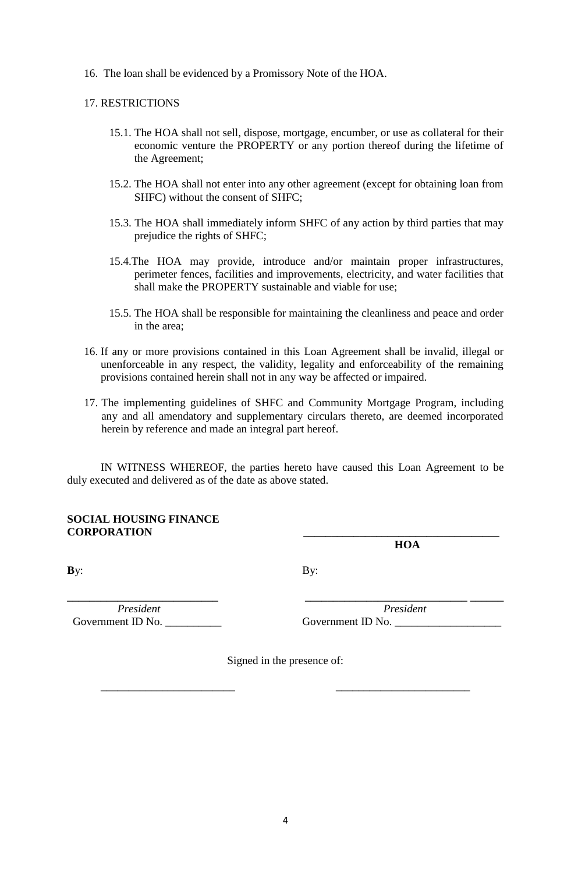16. The loan shall be evidenced by a Promissory Note of the HOA.

### 17. RESTRICTIONS

- 15.1. The HOA shall not sell, dispose, mortgage, encumber, or use as collateral for their economic venture the PROPERTY or any portion thereof during the lifetime of the Agreement;
- 15.2. The HOA shall not enter into any other agreement (except for obtaining loan from SHFC) without the consent of SHFC;
- 15.3. The HOA shall immediately inform SHFC of any action by third parties that may prejudice the rights of SHFC;
- 15.4.The HOA may provide, introduce and/or maintain proper infrastructures, perimeter fences, facilities and improvements, electricity, and water facilities that shall make the PROPERTY sustainable and viable for use;
- 15.5. The HOA shall be responsible for maintaining the cleanliness and peace and order in the area;
- 16. If any or more provisions contained in this Loan Agreement shall be invalid, illegal or unenforceable in any respect, the validity, legality and enforceability of the remaining provisions contained herein shall not in any way be affected or impaired.
- 17. The implementing guidelines of SHFC and Community Mortgage Program, including any and all amendatory and supplementary circulars thereto, are deemed incorporated herein by reference and made an integral part hereof.

IN WITNESS WHEREOF, the parties hereto have caused this Loan Agreement to be duly executed and delivered as of the date as above stated.

### **SOCIAL HOUSING FINANCE CORPORATION \_\_\_\_\_\_\_\_\_\_\_\_\_\_\_\_\_\_\_\_\_\_\_\_\_\_\_\_\_\_\_\_\_\_\_**

**B**y: By:

Government ID No. \_\_\_\_\_\_\_\_\_\_ Government ID No. \_\_\_\_\_\_\_\_\_\_\_\_\_\_\_\_\_\_\_

**\_\_\_\_\_\_\_\_\_\_\_\_\_\_\_\_\_\_\_\_\_\_\_\_\_\_\_ \_\_\_\_\_\_\_\_\_\_\_\_\_\_\_\_\_\_\_\_\_\_\_\_\_\_\_\_\_ \_\_\_\_\_\_**  *President President*

 **HOA** 

Signed in the presence of:

\_\_\_\_\_\_\_\_\_\_\_\_\_\_\_\_\_\_\_\_\_\_\_\_ \_\_\_\_\_\_\_\_\_\_\_\_\_\_\_\_\_\_\_\_\_\_\_\_